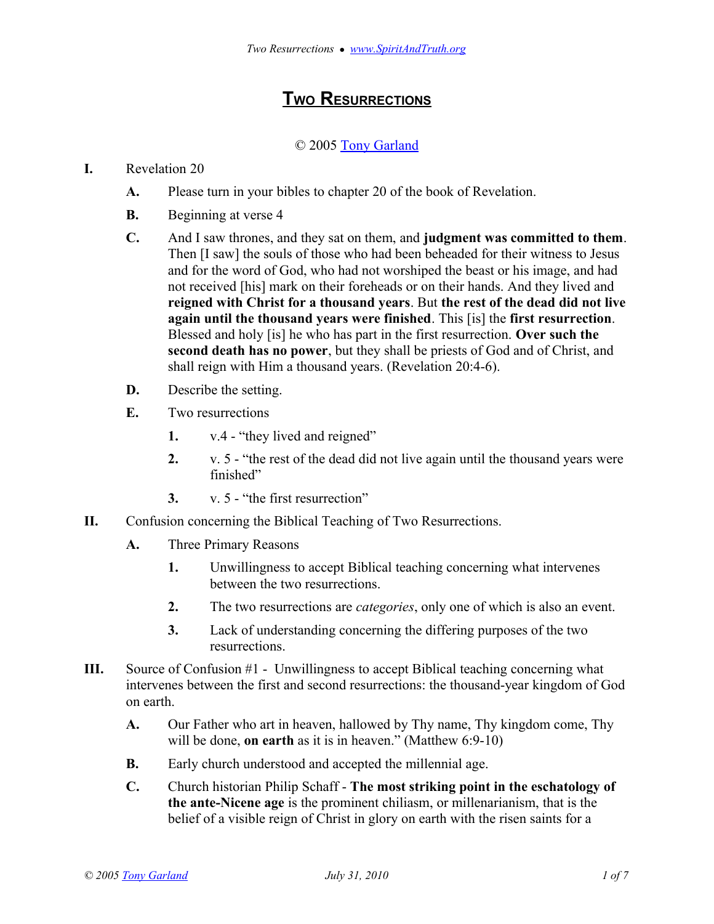## **TWO RESURRECTIONS**

## © 2005 [Tony Garland](http://www.SpiritAndTruth.org/id/tg.htm)

## **I.** Revelation 20

- **A.** Please turn in your bibles to chapter 20 of the book of Revelation.
- **B.** Beginning at verse 4
- **C.** And I saw thrones, and they sat on them, and **judgment was committed to them**. Then [I saw] the souls of those who had been beheaded for their witness to Jesus and for the word of God, who had not worshiped the beast or his image, and had not received [his] mark on their foreheads or on their hands. And they lived and **reigned with Christ for a thousand years**. But **the rest of the dead did not live again until the thousand years were finished**. This [is] the **first resurrection**. Blessed and holy [is] he who has part in the first resurrection. **Over such the second death has no power**, but they shall be priests of God and of Christ, and shall reign with Him a thousand years. (Revelation 20:4-6).
- **D.** Describe the setting.
- **E.** Two resurrections
	- **1.** v.4 "they lived and reigned"
	- **2.** v. 5 "the rest of the dead did not live again until the thousand years were finished"
	- **3.** v. 5 "the first resurrection"
- **II.** Confusion concerning the Biblical Teaching of Two Resurrections.
	- **A.** Three Primary Reasons
		- **1.** Unwillingness to accept Biblical teaching concerning what intervenes between the two resurrections.
		- **2.** The two resurrections are *categories*, only one of which is also an event.
		- **3.** Lack of understanding concerning the differing purposes of the two resurrections.
- **III.** Source of Confusion #1 Unwillingness to accept Biblical teaching concerning what intervenes between the first and second resurrections: the thousand-year kingdom of God on earth.
	- **A.** Our Father who art in heaven, hallowed by Thy name, Thy kingdom come, Thy will be done, **on earth** as it is in heaven." (Matthew 6:9-10)
	- **B.** Early church understood and accepted the millennial age.
	- **C.** Church historian Philip Schaff **The most striking point in the eschatology of the ante-Nicene age** is the prominent chiliasm, or millenarianism, that is the belief of a visible reign of Christ in glory on earth with the risen saints for a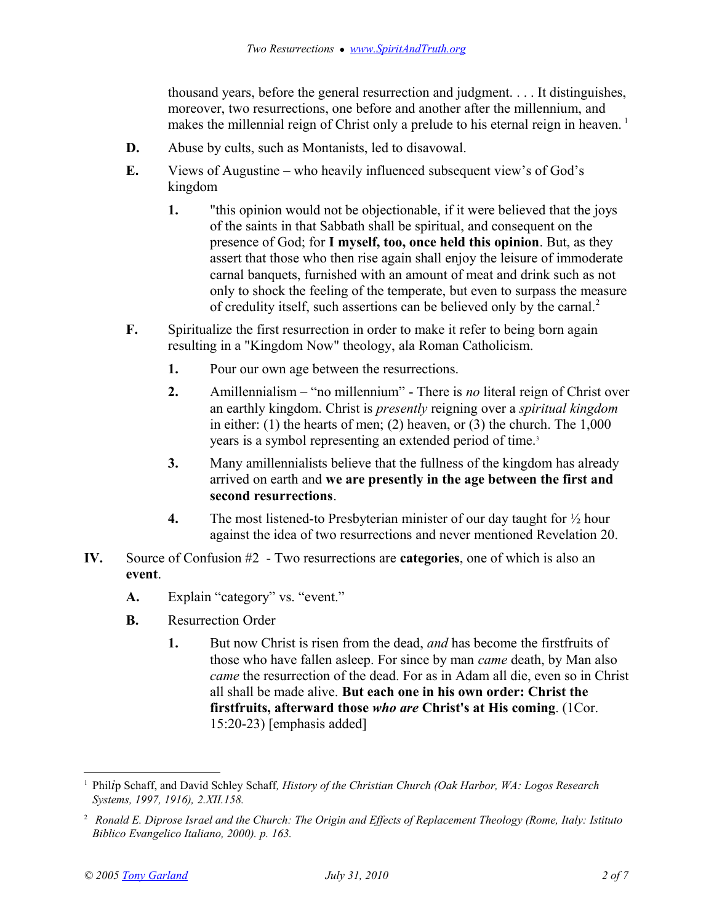thousand years, before the general resurrection and judgment. . . . It distinguishes, moreover, two resurrections, one before and another after the millennium, and makes the millennial reign of Christ only a prelude to his eternal reign in heaven.<sup>[1](#page-1-0)</sup>

- **D.** Abuse by cults, such as Montanists, led to disavowal.
- **E.** Views of Augustine who heavily influenced subsequent view's of God's kingdom
	- **1.** "this opinion would not be objectionable, if it were believed that the joys of the saints in that Sabbath shall be spiritual, and consequent on the presence of God; for **I myself, too, once held this opinion**. But, as they assert that those who then rise again shall enjoy the leisure of immoderate carnal banquets, furnished with an amount of meat and drink such as not only to shock the feeling of the temperate, but even to surpass the measure of credulity itself, such assertions can be believed only by the carnal.[2](#page-1-1)
- **F.** Spiritualize the first resurrection in order to make it refer to being born again resulting in a "Kingdom Now" theology, ala Roman Catholicism.
	- **1.** Pour our own age between the resurrections.
	- **2.** Amillennialism "no millennium" There is *no* literal reign of Christ over an earthly kingdom. Christ is *presently* reigning over a *spiritual kingdom* in either: (1) the hearts of men; (2) heaven, or (3) the church. The  $1,000$ years is a symbol representing an extended period of time.<sup>3</sup>
	- **3.** Many amillennialists believe that the fullness of the kingdom has already arrived on earth and **we are presently in the age between the first and second resurrections**.
	- **4.** The most listened-to Presbyterian minister of our day taught for ½ hour against the idea of two resurrections and never mentioned Revelation 20.
- **IV.** Source of Confusion #2 Two resurrections are **categories**, one of which is also an **event**.
	- **A.** Explain "category" vs. "event."
	- **B.** Resurrection Order
		- **1.** But now Christ is risen from the dead, *and* has become the firstfruits of those who have fallen asleep. For since by man *came* death, by Man also *came* the resurrection of the dead. For as in Adam all die, even so in Christ all shall be made alive. **But each one in his own order: Christ the firstfruits, afterward those** *who are* **Christ's at His coming**. (1Cor. 15:20-23) [emphasis added]

<span id="page-1-0"></span><sup>1</sup> Phil*i*p Schaff, and David Schley Schaff*, History of the Christian Church (Oak Harbor, WA: Logos Research Systems, 1997, 1916), 2.XII.158.*

<span id="page-1-1"></span><sup>2</sup>  *Ronald E. Diprose Israel and the Church: The Origin and Effects of Replacement Theology (Rome, Italy: Istituto Biblico Evangelico Italiano, 2000). p. 163.*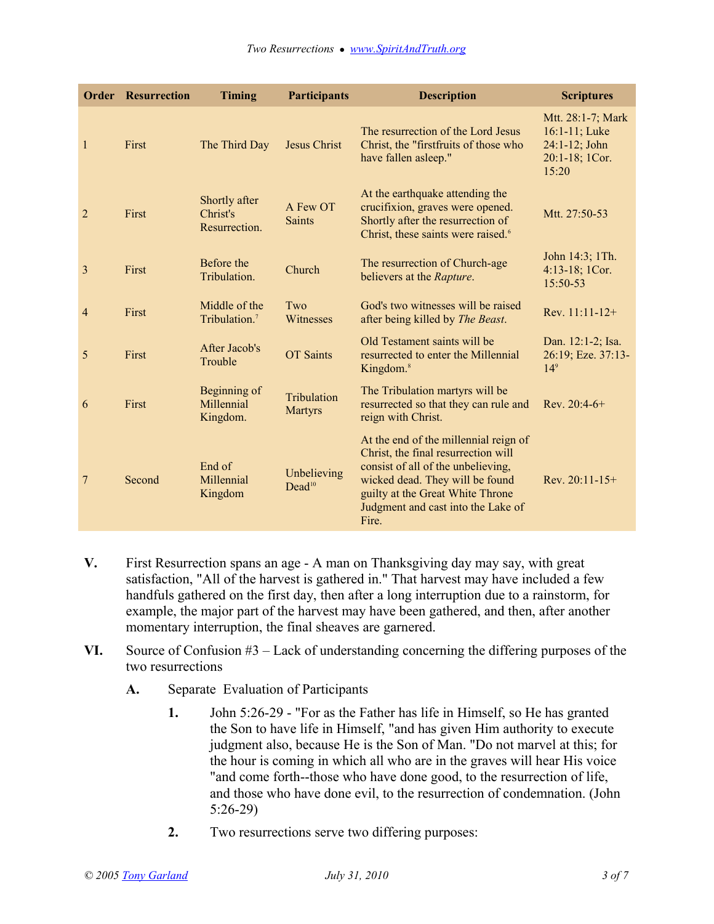|                | <b>Order Resurrection</b> | <b>Timing</b>                              | <b>Participants</b>               | <b>Description</b>                                                                                                                                                                                                                       | <b>Scriptures</b>                                                                   |
|----------------|---------------------------|--------------------------------------------|-----------------------------------|------------------------------------------------------------------------------------------------------------------------------------------------------------------------------------------------------------------------------------------|-------------------------------------------------------------------------------------|
| $\mathbf{1}$   | First                     | The Third Day                              | <b>Jesus Christ</b>               | The resurrection of the Lord Jesus<br>Christ, the "firstfruits of those who<br>have fallen asleep."                                                                                                                                      | Mtt. 28:1-7; Mark<br>$16:1 - 11$ ; Luke<br>24:1-12; John<br>20:1-18; 1Cor.<br>15:20 |
| $\overline{2}$ | First                     | Shortly after<br>Christ's<br>Resurrection. | A Few OT<br><b>Saints</b>         | At the earthquake attending the<br>crucifixion, graves were opened.<br>Shortly after the resurrection of<br>Christ, these saints were raised. <sup>6</sup>                                                                               | Mtt. 27:50-53                                                                       |
| $\overline{3}$ | First                     | Before the<br>Tribulation.                 | Church                            | The resurrection of Church-age<br>believers at the Rapture.                                                                                                                                                                              | John 14:3; 1Th.<br>4:13-18; 1Cor.<br>15:50-53                                       |
| $\overline{4}$ | First                     | Middle of the<br>Tribulation. <sup>7</sup> | Two<br>Witnesses                  | God's two witnesses will be raised<br>after being killed by The Beast.                                                                                                                                                                   | Rev. 11:11-12+                                                                      |
| 5              | First                     | After Jacob's<br>Trouble                   | <b>OT</b> Saints                  | Old Testament saints will be<br>resurrected to enter the Millennial<br>Kingdom. <sup>8</sup>                                                                                                                                             | Dan. 12:1-2; Isa.<br>26:19; Eze. 37:13-<br>14 <sup>9</sup>                          |
| 6              | First                     | Beginning of<br>Millennial<br>Kingdom.     | Tribulation<br><b>Martyrs</b>     | The Tribulation martyrs will be<br>resurrected so that they can rule and<br>reign with Christ.                                                                                                                                           | Rev. $20:4-6+$                                                                      |
| 7              | Second                    | End of<br>Millennial<br>Kingdom            | Unbelieving<br>Dead <sup>10</sup> | At the end of the millennial reign of<br>Christ, the final resurrection will<br>consist of all of the unbelieving,<br>wicked dead. They will be found<br>guilty at the Great White Throne<br>Judgment and cast into the Lake of<br>Fire. | Rev. $20:11-15+$                                                                    |

- **V.** First Resurrection spans an age A man on Thanksgiving day may say, with great satisfaction, "All of the harvest is gathered in." That harvest may have included a few handfuls gathered on the first day, then after a long interruption due to a rainstorm, for example, the major part of the harvest may have been gathered, and then, after another momentary interruption, the final sheaves are garnered.
- **VI.** Source of Confusion #3 Lack of understanding concerning the differing purposes of the two resurrections
	- **A.** Separate Evaluation of Participants
		- **1.** John 5:26-29 "For as the Father has life in Himself, so He has granted the Son to have life in Himself, "and has given Him authority to execute judgment also, because He is the Son of Man. "Do not marvel at this; for the hour is coming in which all who are in the graves will hear His voice "and come forth--those who have done good, to the resurrection of life, and those who have done evil, to the resurrection of condemnation. (John 5:26-29)
		- **2.** Two resurrections serve two differing purposes: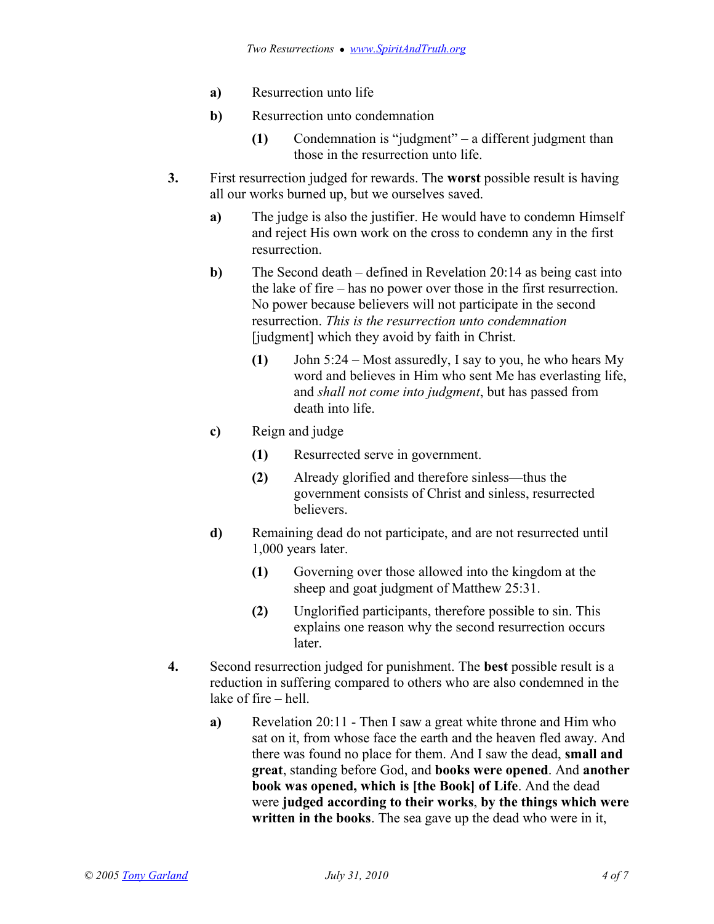- **a)** Resurrection unto life
- **b)** Resurrection unto condemnation
	- **(1)** Condemnation is "judgment" a different judgment than those in the resurrection unto life.
- **3.** First resurrection judged for rewards. The **worst** possible result is having all our works burned up, but we ourselves saved.
	- **a)** The judge is also the justifier. He would have to condemn Himself and reject His own work on the cross to condemn any in the first resurrection.
	- **b**) The Second death defined in Revelation 20:14 as being cast into the lake of fire – has no power over those in the first resurrection. No power because believers will not participate in the second resurrection. *This is the resurrection unto condemnation* [judgment] which they avoid by faith in Christ.
		- **(1)** John 5:24 Most assuredly, I say to you, he who hears My word and believes in Him who sent Me has everlasting life, and *shall not come into judgment*, but has passed from death into life.
	- **c)** Reign and judge
		- **(1)** Resurrected serve in government.
		- **(2)** Already glorified and therefore sinless—thus the government consists of Christ and sinless, resurrected believers.
	- **d)** Remaining dead do not participate, and are not resurrected until 1,000 years later.
		- **(1)** Governing over those allowed into the kingdom at the sheep and goat judgment of Matthew 25:31.
		- **(2)** Unglorified participants, therefore possible to sin. This explains one reason why the second resurrection occurs later.
- **4.** Second resurrection judged for punishment. The **best** possible result is a reduction in suffering compared to others who are also condemned in the lake of fire – hell.
	- **a)** Revelation 20:11 Then I saw a great white throne and Him who sat on it, from whose face the earth and the heaven fled away. And there was found no place for them. And I saw the dead, **small and great**, standing before God, and **books were opened**. And **another book was opened, which is [the Book] of Life**. And the dead were **judged according to their works**, **by the things which were written in the books**. The sea gave up the dead who were in it,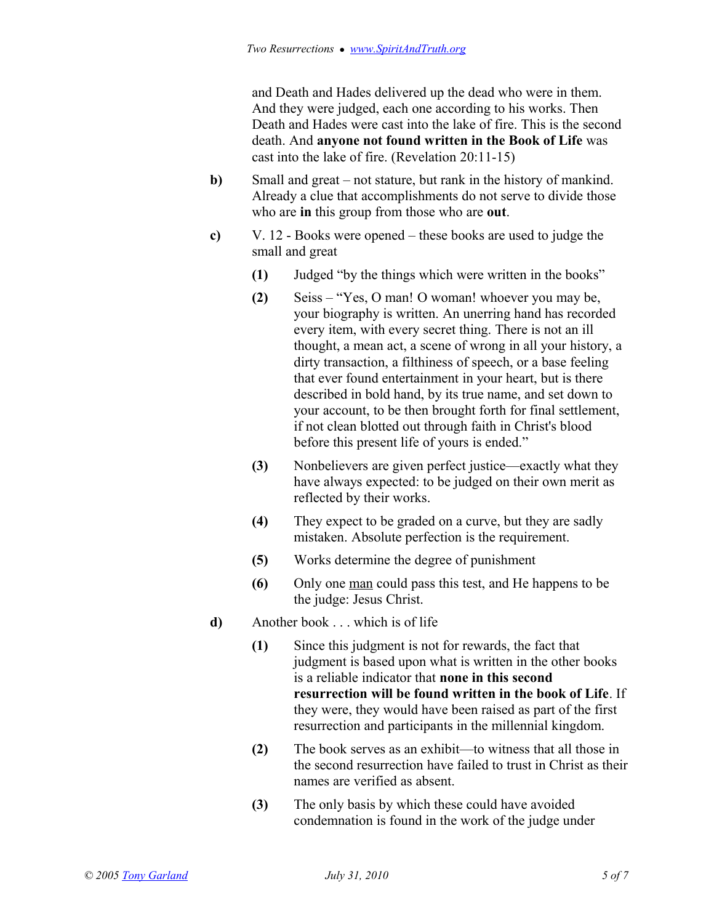and Death and Hades delivered up the dead who were in them. And they were judged, each one according to his works. Then Death and Hades were cast into the lake of fire. This is the second death. And **anyone not found written in the Book of Life** was cast into the lake of fire. (Revelation 20:11-15)

- **b)** Small and great not stature, but rank in the history of mankind. Already a clue that accomplishments do not serve to divide those who are **in** this group from those who are **out**.
- **c)** V. 12 Books were opened these books are used to judge the small and great
	- **(1)** Judged "by the things which were written in the books"
	- **(2)** Seiss "Yes, O man! O woman! whoever you may be, your biography is written. An unerring hand has recorded every item, with every secret thing. There is not an ill thought, a mean act, a scene of wrong in all your history, a dirty transaction, a filthiness of speech, or a base feeling that ever found entertainment in your heart, but is there described in bold hand, by its true name, and set down to your account, to be then brought forth for final settlement, if not clean blotted out through faith in Christ's blood before this present life of yours is ended."
	- **(3)** Nonbelievers are given perfect justice—exactly what they have always expected: to be judged on their own merit as reflected by their works.
	- **(4)** They expect to be graded on a curve, but they are sadly mistaken. Absolute perfection is the requirement.
	- **(5)** Works determine the degree of punishment
	- **(6)** Only one man could pass this test, and He happens to be the judge: Jesus Christ.
- **d)** Another book . . . which is of life
	- **(1)** Since this judgment is not for rewards, the fact that judgment is based upon what is written in the other books is a reliable indicator that **none in this second resurrection will be found written in the book of Life**. If they were, they would have been raised as part of the first resurrection and participants in the millennial kingdom.
	- **(2)** The book serves as an exhibit—to witness that all those in the second resurrection have failed to trust in Christ as their names are verified as absent.
	- **(3)** The only basis by which these could have avoided condemnation is found in the work of the judge under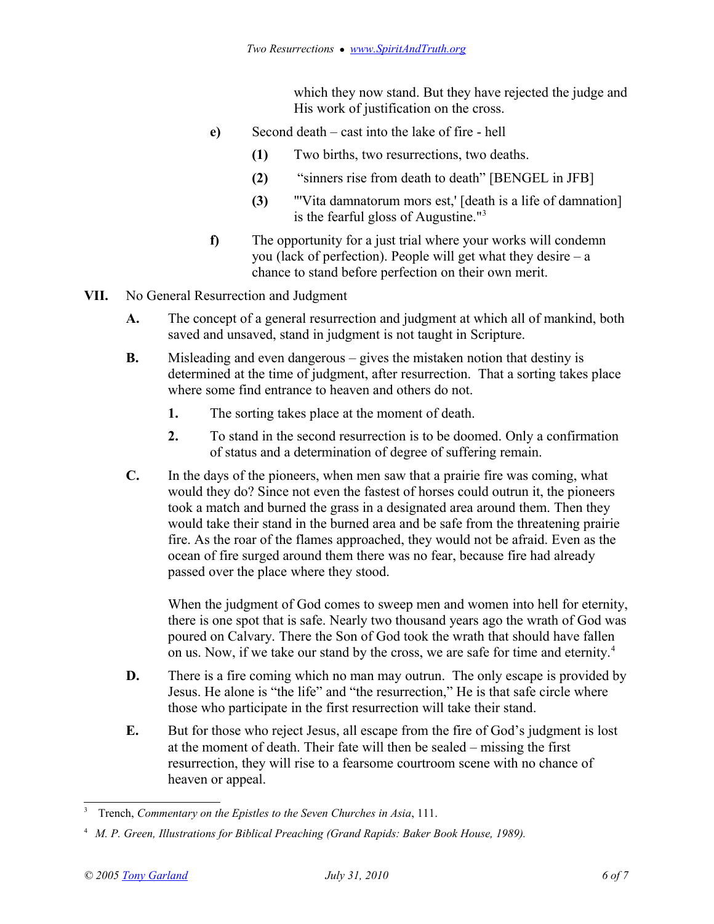which they now stand. But they have rejected the judge and His work of justification on the cross.

- **e)** Second death cast into the lake of fire hell
	- **(1)** Two births, two resurrections, two deaths.
	- **(2)** "sinners rise from death to death" [BENGEL in JFB]
	- **(3)** "'Vita damnatorum mors est,' [death is a life of damnation] is the fearful gloss of Augustine."[3](#page-5-0)
- **f)** The opportunity for a just trial where your works will condemn you (lack of perfection). People will get what they desire  $-a$ chance to stand before perfection on their own merit.
- **VII.** No General Resurrection and Judgment
	- **A.** The concept of a general resurrection and judgment at which all of mankind, both saved and unsaved, stand in judgment is not taught in Scripture.
	- **B.** Misleading and even dangerous gives the mistaken notion that destiny is determined at the time of judgment, after resurrection. That a sorting takes place where some find entrance to heaven and others do not.
		- **1.** The sorting takes place at the moment of death.
		- **2.** To stand in the second resurrection is to be doomed. Only a confirmation of status and a determination of degree of suffering remain.
	- **C.** In the days of the pioneers, when men saw that a prairie fire was coming, what would they do? Since not even the fastest of horses could outrun it, the pioneers took a match and burned the grass in a designated area around them. Then they would take their stand in the burned area and be safe from the threatening prairie fire. As the roar of the flames approached, they would not be afraid. Even as the ocean of fire surged around them there was no fear, because fire had already passed over the place where they stood.

When the judgment of God comes to sweep men and women into hell for eternity, there is one spot that is safe. Nearly two thousand years ago the wrath of God was poured on Calvary. There the Son of God took the wrath that should have fallen on us. Now, if we take our stand by the cross, we are safe for time and eternity.[4](#page-5-1)

- **D.** There is a fire coming which no man may outrun. The only escape is provided by Jesus. He alone is "the life" and "the resurrection," He is that safe circle where those who participate in the first resurrection will take their stand.
- **E.** But for those who reject Jesus, all escape from the fire of God's judgment is lost at the moment of death. Their fate will then be sealed – missing the first resurrection, they will rise to a fearsome courtroom scene with no chance of heaven or appeal.

<span id="page-5-0"></span><sup>3</sup> Trench, *Commentary on the Epistles to the Seven Churches in Asia*, 111.

<span id="page-5-1"></span><sup>4</sup>  *M. P. Green, Illustrations for Biblical Preaching (Grand Rapids: Baker Book House, 1989).*